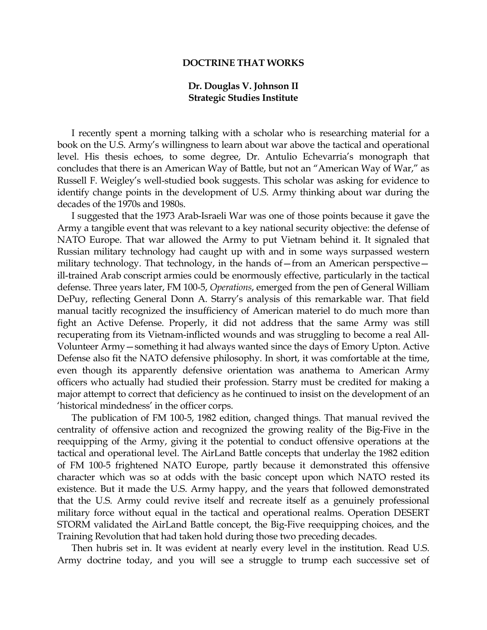## **DOCTRINE THAT WORKS**

## **Dr. Douglas V. Johnson II Strategic Studies Institute**

 I recently spent a morning talking with a scholar who is researching material for a book on the U.S. Army's willingness to learn about war above the tactical and operational level. His thesis echoes, to some degree, Dr. Antulio Echevarria's monograph that concludes that there is an American Way of Battle, but not an "American Way of War," as Russell F. Weigley's well-studied book suggests. This scholar was asking for evidence to identify change points in the development of U.S. Army thinking about war during the decades of the 1970s and 1980s.

 I suggested that the 1973 Arab-Israeli War was one of those points because it gave the Army a tangible event that was relevant to a key national security objective: the defense of NATO Europe. That war allowed the Army to put Vietnam behind it. It signaled that Russian military technology had caught up with and in some ways surpassed western military technology. That technology, in the hands of—from an American perspective ill-trained Arab conscript armies could be enormously effective, particularly in the tactical defense. Three years later, FM 100-5, *Operations*, emerged from the pen of General William DePuy, reflecting General Donn A. Starry's analysis of this remarkable war. That field manual tacitly recognized the insufficiency of American materiel to do much more than fight an Active Defense. Properly, it did not address that the same Army was still recuperating from its Vietnam-inflicted wounds and was struggling to become a real All-Volunteer Army—something it had always wanted since the days of Emory Upton. Active Defense also fit the NATO defensive philosophy. In short, it was comfortable at the time, even though its apparently defensive orientation was anathema to American Army officers who actually had studied their profession. Starry must be credited for making a major attempt to correct that deficiency as he continued to insist on the development of an 'historical mindedness' in the officer corps.

 The publication of FM 100-5, 1982 edition, changed things. That manual revived the centrality of offensive action and recognized the growing reality of the Big-Five in the reequipping of the Army, giving it the potential to conduct offensive operations at the tactical and operational level. The AirLand Battle concepts that underlay the 1982 edition of FM 100-5 frightened NATO Europe, partly because it demonstrated this offensive character which was so at odds with the basic concept upon which NATO rested its existence. But it made the U.S. Army happy, and the years that followed demonstrated that the U.S. Army could revive itself and recreate itself as a genuinely professional military force without equal in the tactical and operational realms. Operation DESERT STORM validated the AirLand Battle concept, the Big-Five reequipping choices, and the Training Revolution that had taken hold during those two preceding decades.

 Then hubris set in. It was evident at nearly every level in the institution. Read U.S. Army doctrine today, and you will see a struggle to trump each successive set of